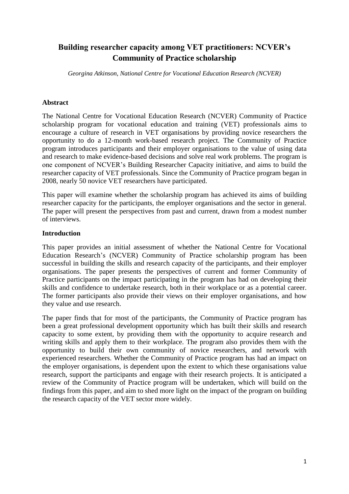# **Building researcher capacity among VET practitioners: NCVER's Community of Practice scholarship**

*Georgina Atkinson, National Centre for Vocational Education Research (NCVER)*

# **Abstract**

The National Centre for Vocational Education Research (NCVER) Community of Practice scholarship program for vocational education and training (VET) professionals aims to encourage a culture of research in VET organisations by providing novice researchers the opportunity to do a 12-month work-based research project. The Community of Practice program introduces participants and their employer organisations to the value of using data and research to make evidence-based decisions and solve real work problems. The program is one component of NCVER's Building Researcher Capacity initiative, and aims to build the researcher capacity of VET professionals. Since the Community of Practice program began in 2008, nearly 50 novice VET researchers have participated.

This paper will examine whether the scholarship program has achieved its aims of building researcher capacity for the participants, the employer organisations and the sector in general. The paper will present the perspectives from past and current, drawn from a modest number of interviews.

## **Introduction**

This paper provides an initial assessment of whether the National Centre for Vocational Education Research's (NCVER) Community of Practice scholarship program has been successful in building the skills and research capacity of the participants, and their employer organisations. The paper presents the perspectives of current and former Community of Practice participants on the impact participating in the program has had on developing their skills and confidence to undertake research, both in their workplace or as a potential career. The former participants also provide their views on their employer organisations, and how they value and use research.

The paper finds that for most of the participants, the Community of Practice program has been a great professional development opportunity which has built their skills and research capacity to some extent, by providing them with the opportunity to acquire research and writing skills and apply them to their workplace. The program also provides them with the opportunity to build their own community of novice researchers, and network with experienced researchers. Whether the Community of Practice program has had an impact on the employer organisations, is dependent upon the extent to which these organisations value research, support the participants and engage with their research projects. It is anticipated a review of the Community of Practice program will be undertaken, which will build on the findings from this paper, and aim to shed more light on the impact of the program on building the research capacity of the VET sector more widely.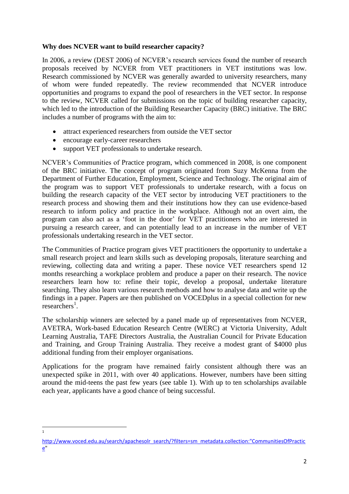## **Why does NCVER want to build researcher capacity?**

In 2006, a review (DEST 2006) of NCVER's research services found the number of research proposals received by NCVER from VET practitioners in VET institutions was low. Research commissioned by NCVER was generally awarded to university researchers, many of whom were funded repeatedly. The review recommended that NCVER introduce opportunities and programs to expand the pool of researchers in the VET sector. In response to the review, NCVER called for submissions on the topic of building researcher capacity, which led to the introduction of the Building Researcher Capacity (BRC) initiative. The BRC includes a number of programs with the aim to:

- attract experienced researchers from outside the VET sector
- encourage early-career researchers

 $\frac{1}{1}$ 

support VET professionals to undertake research.

NCVER's Communities of Practice program, which commenced in 2008, is one component of the BRC initiative. The concept of program originated from Suzy McKenna from the Department of Further Education, Employment, Science and Technology. The original aim of the program was to support VET professionals to undertake research, with a focus on building the research capacity of the VET sector by introducing VET practitioners to the research process and showing them and their institutions how they can use evidence-based research to inform policy and practice in the workplace. Although not an overt aim, the program can also act as a 'foot in the door' for VET practitioners who are interested in pursuing a research career, and can potentially lead to an increase in the number of VET professionals undertaking research in the VET sector.

The Communities of Practice program gives VET practitioners the opportunity to undertake a small research project and learn skills such as developing proposals, literature searching and reviewing, collecting data and writing a paper. These novice VET researchers spend 12 months researching a workplace problem and produce a paper on their research. The novice researchers learn how to: refine their topic, develop a proposal, undertake literature searching. They also learn various research methods and how to analyse data and write up the findings in a paper. Papers are then published on VOCEDplus in a special collection for new  $researchers<sup>1</sup>$ .

The scholarship winners are selected by a panel made up of representatives from NCVER, AVETRA, Work-based Education Research Centre (WERC) at Victoria University, Adult Learning Australia, TAFE Directors Australia, the Australian Council for Private Education and Training, and Group Training Australia. They receive a modest grant of \$4000 plus additional funding from their employer organisations.

Applications for the program have remained fairly consistent although there was an unexpected spike in 2011, with over 40 applications. However, numbers have been sitting around the mid-teens the past few years (see table 1). With up to ten scholarships available each year, applicants have a good chance of being successful.

[http://www.voced.edu.au/search/apachesolr\\_search/?filters=sm\\_metadata.collection:"CommunitiesOfPractic](http://www.voced.edu.au/search/apachesolr_search/?filters=sm_metadata.collection:%22CommunitiesOfPractice) [e"](http://www.voced.edu.au/search/apachesolr_search/?filters=sm_metadata.collection:%22CommunitiesOfPractice)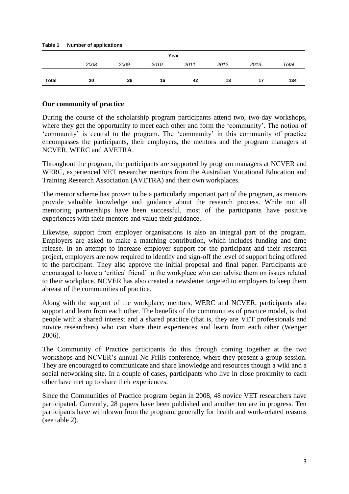| <b>Lavie</b> L | <b>NUMBER OF APPROXISING</b> |      |      |      |      |      |       |  |  |  |
|----------------|------------------------------|------|------|------|------|------|-------|--|--|--|
|                | Year                         |      |      |      |      |      |       |  |  |  |
|                | 2008                         | 2009 | 2010 | 2011 | 2012 | 2013 | Total |  |  |  |
|                |                              |      |      |      |      |      |       |  |  |  |
| <b>Total</b>   | 20                           | 26   | 16   | 42   | 13   | 17   | 134   |  |  |  |

# **Our community of practice**

**Table 1 Number of applications** 

During the course of the scholarship program participants attend two, two-day workshops, where they get the opportunity to meet each other and form the 'community'. The notion of 'community' is central to the program. The 'community' in this community of practice encompasses the participants, their employers, the mentors and the program managers at NCVER, WERC and AVETRA.

Throughout the program, the participants are supported by program managers at NCVER and WERC, experienced VET researcher mentors from the Australian Vocational Education and Training Research Association (AVETRA) and their own workplaces.

The mentor scheme has proven to be a particularly important part of the program, as mentors provide valuable knowledge and guidance about the research process. While not all mentoring partnerships have been successful, most of the participants have positive experiences with their mentors and value their guidance.

Likewise, support from employer organisations is also an integral part of the program. Employers are asked to make a matching contribution, which includes funding and time release. In an attempt to increase employer support for the participant and their research project, employers are now required to identify and sign-off the level of support being offered to the participant. They also approve the initial proposal and final paper. Participants are encouraged to have a 'critical friend' in the workplace who can advise them on issues related to their workplace. NCVER has also created a newsletter targeted to employers to keep them abreast of the communities of practice.

Along with the support of the workplace, mentors, WERC and NCVER, participants also support and learn from each other. The benefits of the communities of practice model, is that people with a shared interest and a shared practice (that is, they are VET professionals and novice researchers) who can share their experiences and learn from each other (Wenger 2006).

The Community of Practice participants do this through coming together at the two workshops and NCVER's annual No Frills conference, where they present a group session. They are encouraged to communicate and share knowledge and resources though a wiki and a social networking site. In a couple of cases, participants who live in close proximity to each other have met up to share their experiences.

Since the Communities of Practice program began in 2008, 48 novice VET researchers have participated. Currently, 28 papers have been published and another ten are in progress. Ten participants have withdrawn from the program, generally for health and work-related reasons (see table 2).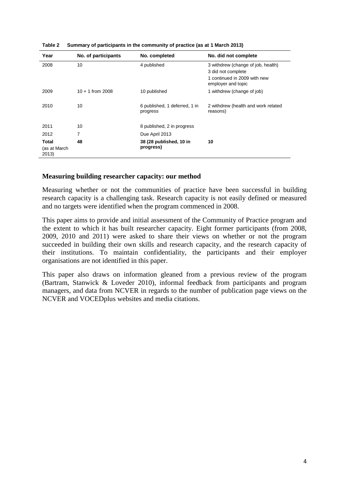| Year                           | No. of participants                             | No. completed                        | No. did not complete                               |  |  |
|--------------------------------|-------------------------------------------------|--------------------------------------|----------------------------------------------------|--|--|
| 2008                           | 10                                              | 4 published                          | 3 withdrew (change of job, health)                 |  |  |
|                                |                                                 |                                      | 3 did not complete                                 |  |  |
|                                |                                                 |                                      | 1 continued in 2009 with new<br>employer and topic |  |  |
| 2009                           | $10 + 1$ from 2008                              | 10 published                         | 1 withdrew (change of job)                         |  |  |
| 2010                           | 10<br>6 published, 1 deferred, 1 in<br>progress |                                      | 2 withdrew (health and work related<br>reasons)    |  |  |
| 2011                           | 10                                              | 8 published, 2 in progress           |                                                    |  |  |
| 2012                           | 7                                               | Due April 2013                       |                                                    |  |  |
| Total<br>(as at March<br>2013) | 48                                              | 38 (28 published, 10 in<br>progress) | 10                                                 |  |  |

**Table 2 Summary of participants in the community of practice (as at 1 March 2013)** 

#### **Measuring building researcher capacity: our method**

Measuring whether or not the communities of practice have been successful in building research capacity is a challenging task. Research capacity is not easily defined or measured and no targets were identified when the program commenced in 2008.

This paper aims to provide and initial assessment of the Community of Practice program and the extent to which it has built researcher capacity. Eight former participants (from 2008, 2009, 2010 and 2011) were asked to share their views on whether or not the program succeeded in building their own skills and research capacity, and the research capacity of their institutions. To maintain confidentiality, the participants and their employer organisations are not identified in this paper.

This paper also draws on information gleaned from a previous review of the program (Bartram, Stanwick & Loveder 2010), informal feedback from participants and program managers, and data from NCVER in regards to the number of publication page views on the NCVER and VOCEDplus websites and media citations.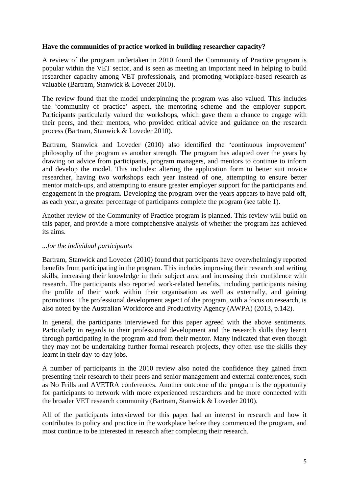## **Have the communities of practice worked in building researcher capacity?**

A review of the program undertaken in 2010 found the Community of Practice program is popular within the VET sector, and is seen as meeting an important need in helping to build researcher capacity among VET professionals, and promoting workplace-based research as valuable (Bartram, Stanwick & Loveder 2010).

The review found that the model underpinning the program was also valued. This includes the 'community of practice' aspect, the mentoring scheme and the employer support. Participants particularly valued the workshops, which gave them a chance to engage with their peers, and their mentors, who provided critical advice and guidance on the research process (Bartram, Stanwick & Loveder 2010).

Bartram, Stanwick and Loveder (2010) also identified the 'continuous improvement' philosophy of the program as another strength. The program has adapted over the years by drawing on advice from participants, program managers, and mentors to continue to inform and develop the model. This includes: altering the application form to better suit novice researcher, having two workshops each year instead of one, attempting to ensure better mentor match-ups, and attempting to ensure greater employer support for the participants and engagement in the program. Developing the program over the years appears to have paid-off, as each year, a greater percentage of participants complete the program (see table 1).

Another review of the Community of Practice program is planned. This review will build on this paper, and provide a more comprehensive analysis of whether the program has achieved its aims.

#### *...for the individual participants*

Bartram, Stanwick and Loveder (2010) found that participants have overwhelmingly reported benefits from participating in the program. This includes improving their research and writing skills, increasing their knowledge in their subject area and increasing their confidence with research. The participants also reported work-related benefits, including participants raising the profile of their work within their organisation as well as externally, and gaining promotions. The professional development aspect of the program, with a focus on research, is also noted by the Australian Workforce and Productivity Agency (AWPA) (2013, p.142).

In general, the participants interviewed for this paper agreed with the above sentiments. Particularly in regards to their professional development and the research skills they learnt through participating in the program and from their mentor. Many indicated that even though they may not be undertaking further formal research projects, they often use the skills they learnt in their day-to-day jobs.

A number of participants in the 2010 review also noted the confidence they gained from presenting their research to their peers and senior management and external conferences, such as No Frills and AVETRA conferences. Another outcome of the program is the opportunity for participants to network with more experienced researchers and be more connected with the broader VET research community (Bartram, Stanwick & Loveder 2010).

All of the participants interviewed for this paper had an interest in research and how it contributes to policy and practice in the workplace before they commenced the program, and most continue to be interested in research after completing their research.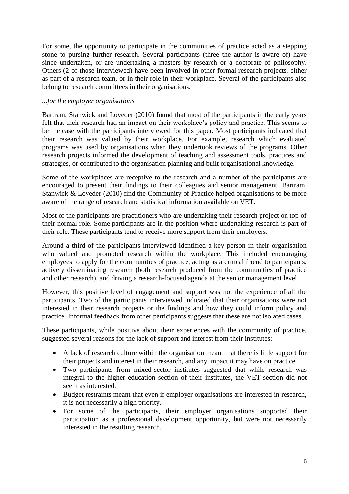For some, the opportunity to participate in the communities of practice acted as a stepping stone to pursing further research. Several participants (three the author is aware of) have since undertaken, or are undertaking a masters by research or a doctorate of philosophy. Others (2 of those interviewed) have been involved in other formal research projects, either as part of a research team, or in their role in their workplace. Several of the participants also belong to research committees in their organisations.

## *...for the employer organisations*

Bartram, Stanwick and Loveder (2010) found that most of the participants in the early years felt that their research had an impact on their workplace's policy and practice. This seems to be the case with the participants interviewed for this paper. Most participants indicated that their research was valued by their workplace. For example, research which evaluated programs was used by organisations when they undertook reviews of the programs. Other research projects informed the development of teaching and assessment tools, practices and strategies, or contributed to the organisation planning and built organisational knowledge.

Some of the workplaces are receptive to the research and a number of the participants are encouraged to present their findings to their colleagues and senior management. Bartram, Stanwick & Loveder (2010) find the Community of Practice helped organisations to be more aware of the range of research and statistical information available on VET.

Most of the participants are practitioners who are undertaking their research project on top of their normal role. Some participants are in the position where undertaking research is part of their role. These participants tend to receive more support from their employers.

Around a third of the participants interviewed identified a key person in their organisation who valued and promoted research within the workplace. This included encouraging employees to apply for the communities of practice, acting as a critical friend to participants, actively disseminating research (both research produced from the communities of practice and other research), and driving a research-focused agenda at the senior management level.

However, this positive level of engagement and support was not the experience of all the participants. Two of the participants interviewed indicated that their organisations were not interested in their research projects or the findings and how they could inform policy and practice. Informal feedback from other participants suggests that these are not isolated cases.

These participants, while positive about their experiences with the community of practice, suggested several reasons for the lack of support and interest from their institutes:

- A lack of research culture within the organisation meant that there is little support for their projects and interest in their research, and any impact it may have on practice.
- Two participants from mixed-sector institutes suggested that while research was integral to the higher education section of their institutes, the VET section did not seem as interested.
- Budget restraints meant that even if employer organisations are interested in research, it is not necessarily a high priority.
- For some of the participants, their employer organisations supported their participation as a professional development opportunity, but were not necessarily interested in the resulting research.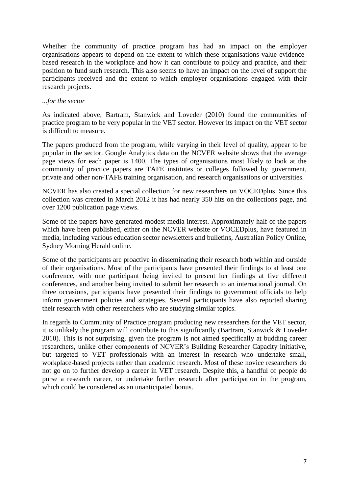Whether the community of practice program has had an impact on the employer organisations appears to depend on the extent to which these organisations value evidencebased research in the workplace and how it can contribute to policy and practice, and their position to fund such research. This also seems to have an impact on the level of support the participants received and the extent to which employer organisations engaged with their research projects.

#### *...for the sector*

As indicated above, Bartram, Stanwick and Loveder (2010) found the communities of practice program to be very popular in the VET sector. However its impact on the VET sector is difficult to measure.

The papers produced from the program, while varying in their level of quality, appear to be popular in the sector. Google Analytics data on the NCVER website shows that the average page views for each paper is 1400. The types of organisations most likely to look at the community of practice papers are TAFE institutes or colleges followed by government, private and other non-TAFE training organisation, and research organisations or universities.

NCVER has also created a special collection for new researchers on VOCEDplus. Since this collection was created in March 2012 it has had nearly 350 hits on the collections page, and over 1200 publication page views.

Some of the papers have generated modest media interest. Approximately half of the papers which have been published, either on the NCVER website or VOCEDplus, have featured in media, including various education sector newsletters and bulletins, Australian Policy Online, Sydney Morning Herald online.

Some of the participants are proactive in disseminating their research both within and outside of their organisations. Most of the participants have presented their findings to at least one conference, with one participant being invited to present her findings at five different conferences, and another being invited to submit her research to an international journal. On three occasions, participants have presented their findings to government officials to help inform government policies and strategies. Several participants have also reported sharing their research with other researchers who are studying similar topics.

In regards to Community of Practice program producing new researchers for the VET sector, it is unlikely the program will contribute to this significantly (Bartram, Stanwick & Loveder 2010). This is not surprising, given the program is not aimed specifically at budding career researchers, unlike other components of NCVER's Building Researcher Capacity initiative, but targeted to VET professionals with an interest in research who undertake small, workplace-based projects rather than academic research. Most of these novice researchers do not go on to further develop a career in VET research. Despite this, a handful of people do purse a research career, or undertake further research after participation in the program, which could be considered as an unanticipated bonus.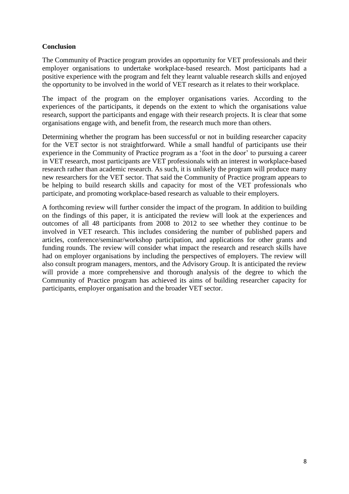# **Conclusion**

The Community of Practice program provides an opportunity for VET professionals and their employer organisations to undertake workplace-based research. Most participants had a positive experience with the program and felt they learnt valuable research skills and enjoyed the opportunity to be involved in the world of VET research as it relates to their workplace.

The impact of the program on the employer organisations varies. According to the experiences of the participants, it depends on the extent to which the organisations value research, support the participants and engage with their research projects. It is clear that some organisations engage with, and benefit from, the research much more than others.

Determining whether the program has been successful or not in building researcher capacity for the VET sector is not straightforward. While a small handful of participants use their experience in the Community of Practice program as a 'foot in the door' to pursuing a career in VET research, most participants are VET professionals with an interest in workplace-based research rather than academic research. As such, it is unlikely the program will produce many new researchers for the VET sector. That said the Community of Practice program appears to be helping to build research skills and capacity for most of the VET professionals who participate, and promoting workplace-based research as valuable to their employers.

A forthcoming review will further consider the impact of the program. In addition to building on the findings of this paper, it is anticipated the review will look at the experiences and outcomes of all 48 participants from 2008 to 2012 to see whether they continue to be involved in VET research. This includes considering the number of published papers and articles, conference/seminar/workshop participation, and applications for other grants and funding rounds. The review will consider what impact the research and research skills have had on employer organisations by including the perspectives of employers. The review will also consult program managers, mentors, and the Advisory Group. It is anticipated the review will provide a more comprehensive and thorough analysis of the degree to which the Community of Practice program has achieved its aims of building researcher capacity for participants, employer organisation and the broader VET sector.